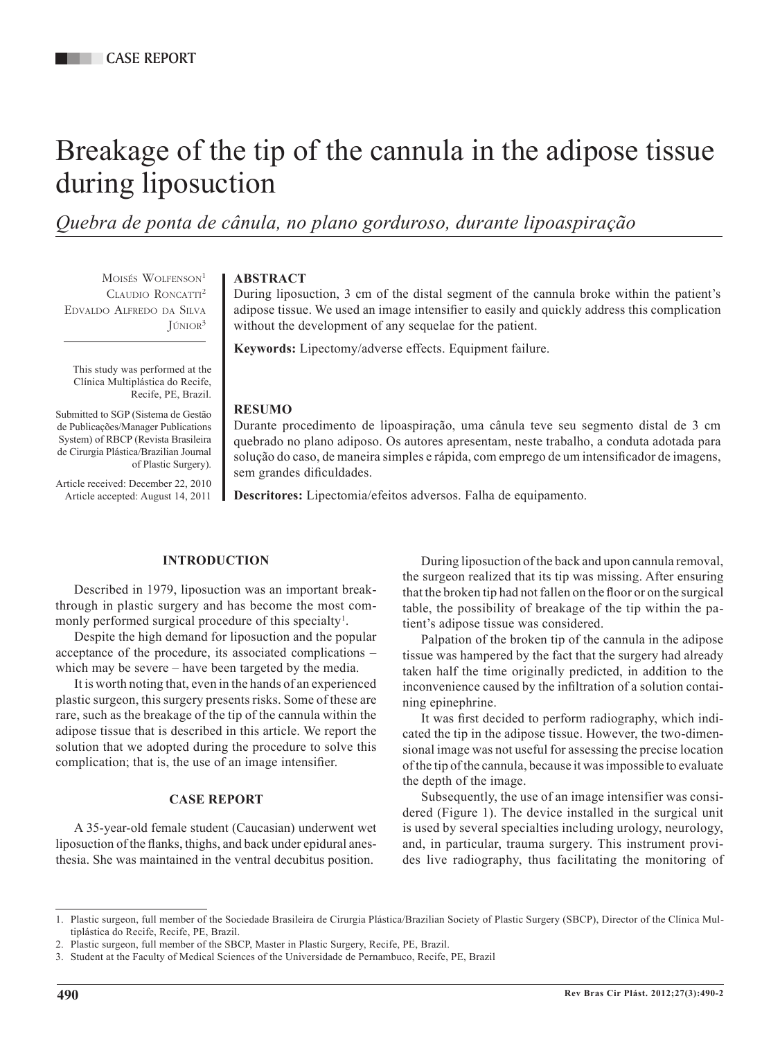# Breakage of the tip of the cannula in the adipose tissue during liposuction

*Quebra de ponta de cânula, no plano gorduroso, durante lipoaspiração*

MOISÉS WOLFENSON<sup>1</sup> CLAUDIO RONCATTI<sup>2</sup> Edvaldo Alfredo da Silva  $J$ únior<sup>3</sup>

This study was performed at the Clínica Multiplástica do Recife, Recife, PE, Brazil.

Submitted to SGP (Sistema de Gestão de Publicações/Manager Publications System) of RBCP (Revista Brasileira de Cirurgia Plástica/Brazilian Journal of Plastic Surgery).

Article received: December 22, 2010 Article accepted: August 14, 2011

## **ABSTRACT**

During liposuction, 3 cm of the distal segment of the cannula broke within the patient's adipose tissue. We used an image intensifier to easily and quickly address this complication without the development of any sequelae for the patient.

**Keywords:** Lipectomy/adverse effects. Equipment failure.

## **RESUMO**

Durante procedimento de lipoaspiração, uma cânula teve seu segmento distal de 3 cm quebrado no plano adiposo. Os autores apresentam, neste trabalho, a conduta adotada para solução do caso, de maneira simples e rápida, com emprego de um intensificador de imagens, sem grandes dificuldades.

**Descritores:** Lipectomia/efeitos adversos. Falha de equipamento.

## **INTRODUCTION**

Described in 1979, liposuction was an important breakthrough in plastic surgery and has become the most commonly performed surgical procedure of this specialty<sup>1</sup>.

Despite the high demand for liposuction and the popular acceptance of the procedure, its associated complications – which may be severe – have been targeted by the media.

It is worth noting that, even in the hands of an experienced plastic surgeon, this surgery presents risks. Some of these are rare, such as the breakage of the tip of the cannula within the adipose tissue that is described in this article. We report the solution that we adopted during the procedure to solve this complication; that is, the use of an image intensifier.

## **CASE REPORT**

A 35-year-old female student (Caucasian) underwent wet liposuction of the flanks, thighs, and back under epidural anesthesia. She was maintained in the ventral decubitus position.

During liposuction of the back and upon cannula removal, the surgeon realized that its tip was missing. After ensuring that the broken tip had not fallen on the floor or on the surgical table, the possibility of breakage of the tip within the patient's adipose tissue was considered.

Palpation of the broken tip of the cannula in the adipose tissue was hampered by the fact that the surgery had already taken half the time originally predicted, in addition to the inconvenience caused by the infiltration of a solution containing epinephrine.

It was first decided to perform radiography, which indicated the tip in the adipose tissue. However, the two-dimensional image was not useful for assessing the precise location of the tip of the cannula, because it was impossible to evaluate the depth of the image.

Subsequently, the use of an image intensifier was considered (Figure 1). The device installed in the surgical unit is used by several specialties including urology, neurology, and, in particular, trauma surgery. This instrument provides live radiography, thus facilitating the monitoring of

<sup>1.</sup> Plastic surgeon, full member of the Sociedade Brasileira de Cirurgia Plástica/Brazilian Society of Plastic Surgery (SBCP), Director of the Clínica Multiplástica do Recife, Recife, PE, Brazil.

<sup>2.</sup> Plastic surgeon, full member of the SBCP, Master in Plastic Surgery, Recife, PE, Brazil.

<sup>3.</sup> Student at the Faculty of Medical Sciences of the Universidade de Pernambuco, Recife, PE, Brazil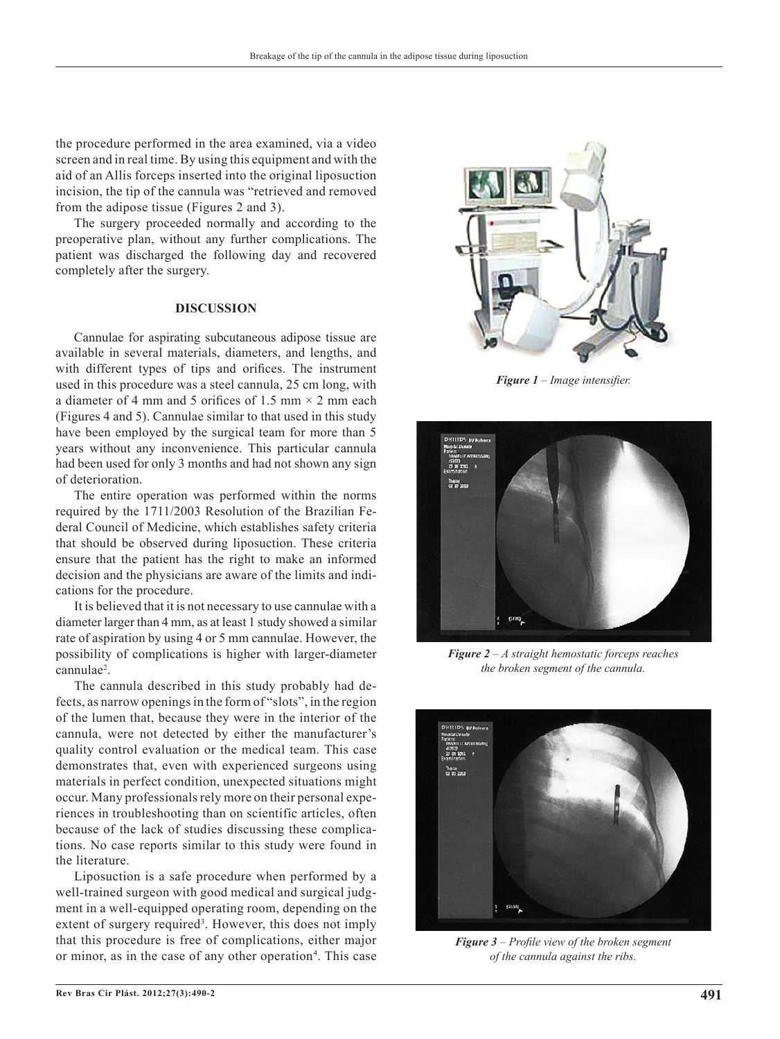the procedure performed in the area examined, via a video screen and in real time. By using this equipment and with the aid of an Allis forceps inserted into the original liposuction incision, the tip of the cannula was "retrieved and removed from the adipose tissue (Figures 2 and 3).

The surgery proceeded normally and according to the preoperative plan, without any further complications. The patient was discharged the following day and recovered completely after the surgery.

#### **DISCUSSION**

Cannulae for aspirating subcutaneous adipose tissue are available in several materials, diameters, and lengths, and with different types of tips and orifices. The instrument used in this procedure was a steel cannula, 25 cm long, with a diameter of 4 mm and 5 orifices of 1.5 mm  $\times$  2 mm each (Figures 4 and 5). Cannulae similar to that used in this study have been employed by the surgical team for more than 5 years without any inconvenience. This particular cannula had been used for only 3 months and had not shown any sign of deterioration.

The entire operation was performed within the norms required by the 1711/2003 Resolution of the Brazilian Fe deral Council of Medicine, which establishes safety criteria that should be observed during liposuction. These criteria ensure that the patient has the right to make an informed decision and the physicians are aware of the limits and indications for the procedure.

It is believed that it is not necessary to use cannulae with a diameter larger than 4 mm, as at least 1 study showed a similar rate of aspiration by using 4 or 5 mm cannulae. However, the possibility of complications is higher with larger-diameter cannulae2 .

The cannula described in this study probably had defects, as narrow openings in the form of "slots", in the region of the lumen that, because they were in the interior of the cannula, were not detected by either the manufacturer's quality control evaluation or the medical team. This case demonstrates that, even with experienced surgeons using materials in perfect condition, unexpected situations might occur. Many professionals rely more on their personal experiences in troubleshooting than on scientific articles, often because of the lack of studies discussing these complications. No case reports similar to this study were found in the literature.

Liposuction is a safe procedure when performed by a well-trained surgeon with good medical and surgical judgment in a well-equipped operating room, depending on the extent of surgery required<sup>3</sup>. However, this does not imply that this procedure is free of complications, either major or minor, as in the case of any other operation<sup>4</sup>. This case



*Figure 1 – Image intensifier.*



*Figure 2 – A straight hemostatic forceps reaches the broken segment of the cannula.*



*Figure 3 – Profile view of the broken segment of the cannula against the ribs.*